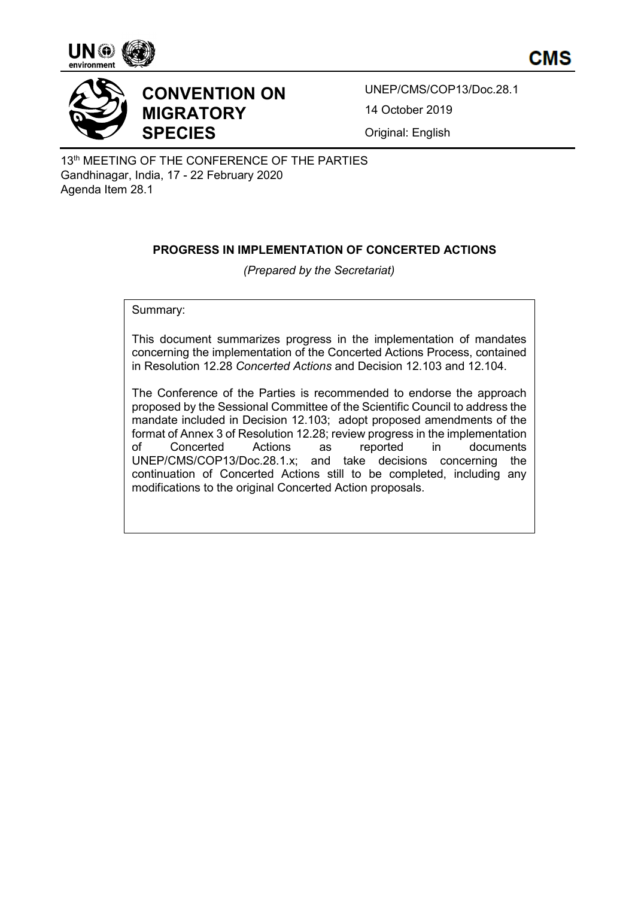





UNEP/CMS/COP13/Doc.28.1 14 October 2019

Original: English

13<sup>th</sup> MEETING OF THE CONFERENCE OF THE PARTIES Gandhinagar, India, 17 - 22 February 2020 Agenda Item 28.1

# **PROGRESS IN IMPLEMENTATION OF CONCERTED ACTIONS**

*(Prepared by the Secretariat)*

Summary:

This document summarizes progress in the implementation of mandates concerning the implementation of the Concerted Actions Process, contained in Resolution 12.28 *Concerted Actions* and Decision 12.103 and 12.104.

The Conference of the Parties is recommended to endorse the approach proposed by the Sessional Committee of the Scientific Council to address the mandate included in Decision 12.103; adopt proposed amendments of the format of Annex 3 of Resolution 12.28; review progress in the implementation of Concerted Actions as reported in documents UNEP/CMS/COP13/Doc.28.1.x; and take decisions concerning the continuation of Concerted Actions still to be completed, including any modifications to the original Concerted Action proposals.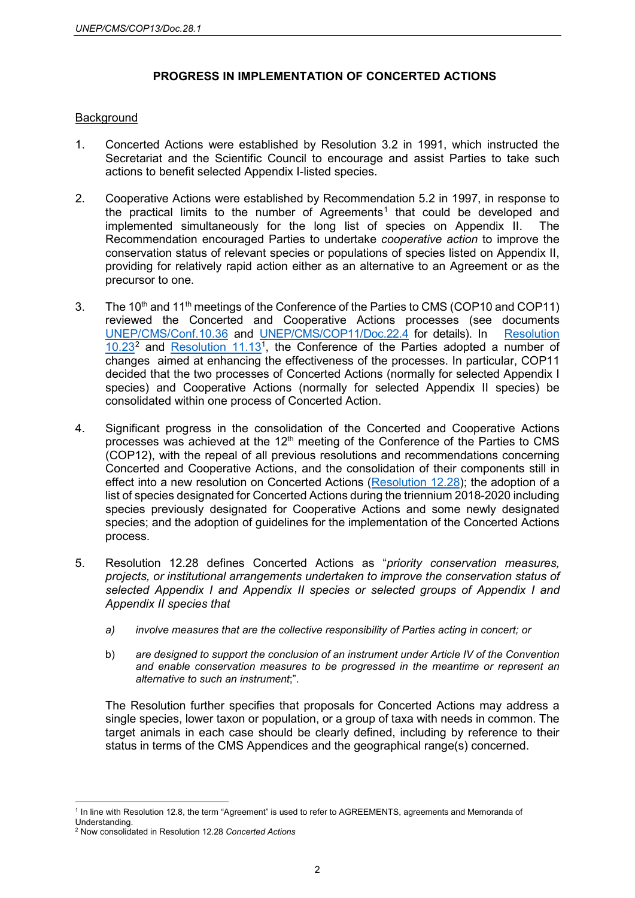# **PROGRESS IN IMPLEMENTATION OF CONCERTED ACTIONS**

#### **Background**

- 1. Concerted Actions were established by Resolution 3.2 in 1991, which instructed the Secretariat and the Scientific Council to encourage and assist Parties to take such actions to benefit selected Appendix I-listed species.
- 2. Cooperative Actions were established by Recommendation 5.2 in 1997, in response to the practical limits to the number of Agreements<sup>[1](#page-1-0)</sup> that could be developed and implemented simultaneously for the long list of species on Appendix II. The Recommendation encouraged Parties to undertake *cooperative action* to improve the conservation status of relevant species or populations of species listed on Appendix II, providing for relatively rapid action either as an alternative to an Agreement or as the precursor to one.
- 3. The 10<sup>th</sup> and 11<sup>th</sup> meetings of the Conference of the Parties to CMS (COP10 and COP11) reviewed the Concerted and Cooperative Actions processes (see documents [UNEP/CMS/Conf.10.36](https://www.cms.int/en/document/enhancing-effectiveness-measures-promote-conservation-and-sustainable-management-appendix) and [UNEP/CMS/COP11/Doc.22.4](https://www.cms.int/en/document/concerted-and-cooperative-actions-7) for details). In [Resolution](https://www.cms.int/en/document/concerted-and-cooperative-actions)   $10.23<sup>2</sup>$  $10.23<sup>2</sup>$  $10.23<sup>2</sup>$  $10.23<sup>2</sup>$  and Resolution 11.13<sup>1</sup>, the Conference of the Parties adopted a number of changes aimed at enhancing the effectiveness of the processes. In particular, COP11 decided that the two processes of Concerted Actions (normally for selected Appendix I species) and Cooperative Actions (normally for selected Appendix II species) be consolidated within one process of Concerted Action.
- 4. Significant progress in the consolidation of the Concerted and Cooperative Actions processes was achieved at the  $12<sup>th</sup>$  meeting of the Conference of the Parties to CMS (COP12), with the repeal of all previous resolutions and recommendations concerning Concerted and Cooperative Actions, and the consolidation of their components still in effect into a new resolution on Concerted Actions [\(Resolution 12.28\)](https://www.cms.int/en/document/concerted-actions-1); the adoption of a list of species designated for Concerted Actions during the triennium 2018-2020 including species previously designated for Cooperative Actions and some newly designated species; and the adoption of guidelines for the implementation of the Concerted Actions process.
- 5. Resolution 12.28 defines Concerted Actions as "*priority conservation measures, projects, or institutional arrangements undertaken to improve the conservation status of selected Appendix I and Appendix II species or selected groups of Appendix I and Appendix II species that*
	- *a) involve measures that are the collective responsibility of Parties acting in concert; or*
	- b) *are designed to support the conclusion of an instrument under Article IV of the Convention and enable conservation measures to be progressed in the meantime or represent an alternative to such an instrument*;".

The Resolution further specifies that proposals for Concerted Actions may address a single species, lower taxon or population, or a group of taxa with needs in common. The target animals in each case should be clearly defined, including by reference to their status in terms of the CMS Appendices and the geographical range(s) concerned.

<span id="page-1-0"></span><sup>&</sup>lt;sup>1</sup> In line with Resolution 12.8, the term "Agreement" is used to refer to AGREEMENTS, agreements and Memoranda of Understanding.

<span id="page-1-1"></span><sup>2</sup> Now consolidated in Resolution 12.28 *Concerted Actions*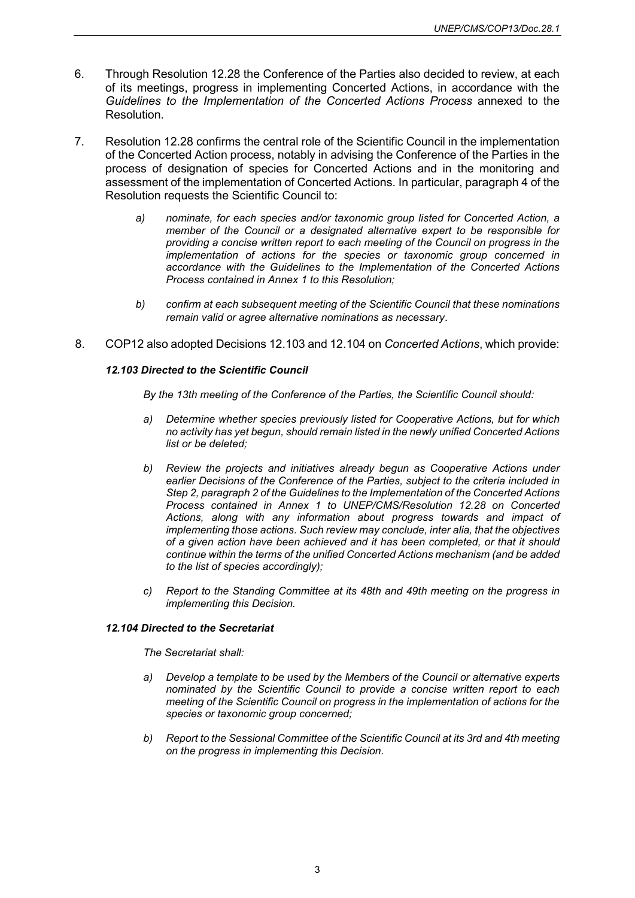- 6. Through Resolution 12.28 the Conference of the Parties also decided to review, at each of its meetings, progress in implementing Concerted Actions, in accordance with the *Guidelines to the Implementation of the Concerted Actions Process* annexed to the Resolution.
- 7. Resolution 12.28 confirms the central role of the Scientific Council in the implementation of the Concerted Action process, notably in advising the Conference of the Parties in the process of designation of species for Concerted Actions and in the monitoring and assessment of the implementation of Concerted Actions. In particular, paragraph 4 of the Resolution requests the Scientific Council to:
	- *a) nominate, for each species and/or taxonomic group listed for Concerted Action, a member of the Council or a designated alternative expert to be responsible for providing a concise written report to each meeting of the Council on progress in the implementation of actions for the species or taxonomic group concerned in accordance with the Guidelines to the Implementation of the Concerted Actions Process contained in Annex 1 to this Resolution;*
	- *b) confirm at each subsequent meeting of the Scientific Council that these nominations remain valid or agree alternative nominations as necessary*.
- 8. COP12 also adopted Decisions 12.103 and 12.104 on *Concerted Actions*, which provide:

#### *12.103 Directed to the Scientific Council*

*By the 13th meeting of the Conference of the Parties, the Scientific Council should:*

- *a) Determine whether species previously listed for Cooperative Actions, but for which no activity has yet begun, should remain listed in the newly unified Concerted Actions list or be deleted;*
- *b) Review the projects and initiatives already begun as Cooperative Actions under earlier Decisions of the Conference of the Parties, subject to the criteria included in Step 2, paragraph 2 of the Guidelines to the Implementation of the Concerted Actions Process contained in Annex 1 to UNEP/CMS/Resolution 12.28 on Concerted Actions, along with any information about progress towards and impact of implementing those actions. Such review may conclude, inter alia, that the objectives of a given action have been achieved and it has been completed, or that it should continue within the terms of the unified Concerted Actions mechanism (and be added to the list of species accordingly);*
- *c) Report to the Standing Committee at its 48th and 49th meeting on the progress in implementing this Decision.*

#### *12.104 Directed to the Secretariat*

*The Secretariat shall:*

- *a) Develop a template to be used by the Members of the Council or alternative experts nominated by the Scientific Council to provide a concise written report to each meeting of the Scientific Council on progress in the implementation of actions for the species or taxonomic group concerned;*
- *b) Report to the Sessional Committee of the Scientific Council at its 3rd and 4th meeting on the progress in implementing this Decision.*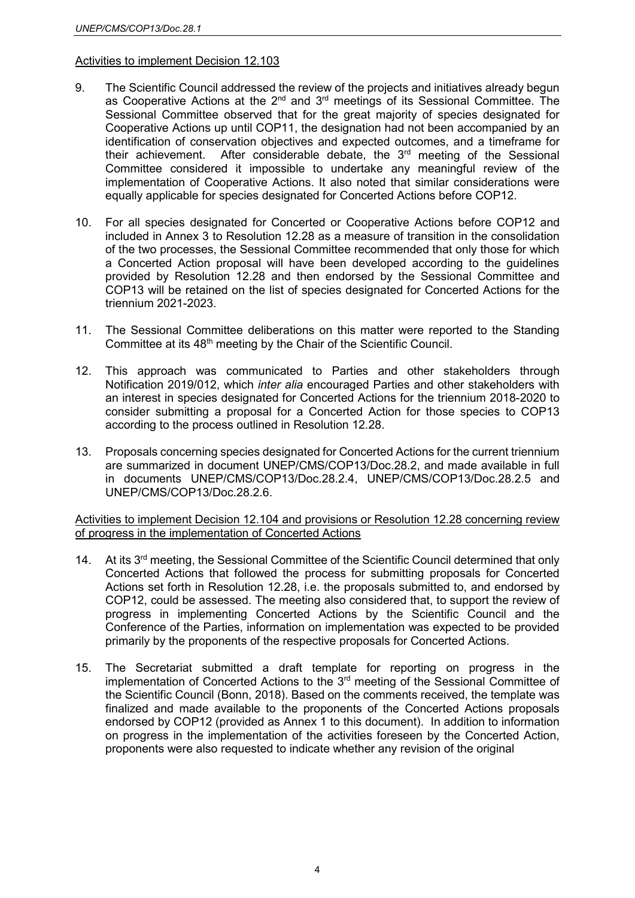### Activities to implement Decision 12.103

- 9. The Scientific Council addressed the review of the projects and initiatives already begun as Cooperative Actions at the  $2^{nd}$  and  $3^{rd}$  meetings of its Sessional Committee. The Sessional Committee observed that for the great majority of species designated for Cooperative Actions up until COP11, the designation had not been accompanied by an identification of conservation objectives and expected outcomes, and a timeframe for their achievement. After considerable debate, the 3<sup>rd</sup> meeting of the Sessional Committee considered it impossible to undertake any meaningful review of the implementation of Cooperative Actions. It also noted that similar considerations were equally applicable for species designated for Concerted Actions before COP12.
- 10. For all species designated for Concerted or Cooperative Actions before COP12 and included in Annex 3 to Resolution 12.28 as a measure of transition in the consolidation of the two processes, the Sessional Committee recommended that only those for which a Concerted Action proposal will have been developed according to the guidelines provided by Resolution 12.28 and then endorsed by the Sessional Committee and COP13 will be retained on the list of species designated for Concerted Actions for the triennium 2021-2023.
- 11. The Sessional Committee deliberations on this matter were reported to the Standing Committee at its 48<sup>th</sup> meeting by the Chair of the Scientific Council.
- 12. This approach was communicated to Parties and other stakeholders through Notification 2019/012, which *inter alia* encouraged Parties and other stakeholders with an interest in species designated for Concerted Actions for the triennium 2018-2020 to consider submitting a proposal for a Concerted Action for those species to COP13 according to the process outlined in Resolution 12.28.
- 13. Proposals concerning species designated for Concerted Actions for the current triennium are summarized in document UNEP/CMS/COP13/Doc.28.2, and made available in full in documents UNEP/CMS/COP13/Doc.28.2.4, UNEP/CMS/COP13/Doc.28.2.5 and UNEP/CMS/COP13/Doc.28.2.6.

Activities to implement Decision 12.104 and provisions or Resolution 12.28 concerning review of progress in the implementation of Concerted Actions

- 14. At its 3<sup>rd</sup> meeting, the Sessional Committee of the Scientific Council determined that only Concerted Actions that followed the process for submitting proposals for Concerted Actions set forth in Resolution 12.28, i.e. the proposals submitted to, and endorsed by COP12, could be assessed. The meeting also considered that, to support the review of progress in implementing Concerted Actions by the Scientific Council and the Conference of the Parties, information on implementation was expected to be provided primarily by the proponents of the respective proposals for Concerted Actions.
- 15. The Secretariat submitted a draft template for reporting on progress in the implementation of Concerted Actions to the 3rd meeting of the Sessional Committee of the Scientific Council (Bonn, 2018). Based on the comments received, the template was finalized and made available to the proponents of the Concerted Actions proposals endorsed by COP12 (provided as Annex 1 to this document). In addition to information on progress in the implementation of the activities foreseen by the Concerted Action, proponents were also requested to indicate whether any revision of the original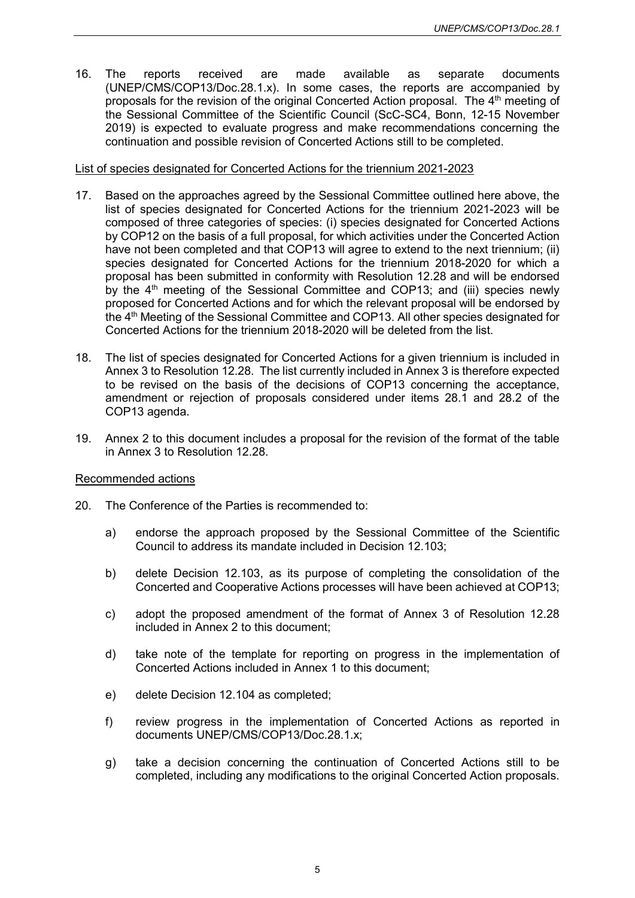16. The reports received are made available as separate documents (UNEP/CMS/COP13/Doc.28.1.x). In some cases, the reports are accompanied by proposals for the revision of the original Concerted Action proposal. The 4<sup>th</sup> meeting of the Sessional Committee of the Scientific Council (ScC-SC4, Bonn, 12-15 November 2019) is expected to evaluate progress and make recommendations concerning the continuation and possible revision of Concerted Actions still to be completed.

#### List of species designated for Concerted Actions for the triennium 2021-2023

- 17. Based on the approaches agreed by the Sessional Committee outlined here above, the list of species designated for Concerted Actions for the triennium 2021-2023 will be composed of three categories of species: (i) species designated for Concerted Actions by COP12 on the basis of a full proposal, for which activities under the Concerted Action have not been completed and that COP13 will agree to extend to the next triennium; (ii) species designated for Concerted Actions for the triennium 2018-2020 for which a proposal has been submitted in conformity with Resolution 12.28 and will be endorsed by the  $4<sup>th</sup>$  meeting of the Sessional Committee and COP13; and (iii) species newly proposed for Concerted Actions and for which the relevant proposal will be endorsed by the 4<sup>th</sup> Meeting of the Sessional Committee and COP13. All other species designated for Concerted Actions for the triennium 2018-2020 will be deleted from the list.
- 18. The list of species designated for Concerted Actions for a given triennium is included in Annex 3 to Resolution 12.28. The list currently included in Annex 3 is therefore expected to be revised on the basis of the decisions of COP13 concerning the acceptance, amendment or rejection of proposals considered under items 28.1 and 28.2 of the COP13 agenda.
- 19. Annex 2 to this document includes a proposal for the revision of the format of the table in Annex 3 to Resolution 12.28.

#### Recommended actions

- 20. The Conference of the Parties is recommended to:
	- a) endorse the approach proposed by the Sessional Committee of the Scientific Council to address its mandate included in Decision 12.103;
	- b) delete Decision 12.103, as its purpose of completing the consolidation of the Concerted and Cooperative Actions processes will have been achieved at COP13;
	- c) adopt the proposed amendment of the format of Annex 3 of Resolution 12.28 included in Annex 2 to this document;
	- d) take note of the template for reporting on progress in the implementation of Concerted Actions included in Annex 1 to this document;
	- e) delete Decision 12.104 as completed;
	- f) review progress in the implementation of Concerted Actions as reported in documents UNEP/CMS/COP13/Doc.28.1.x;
	- g) take a decision concerning the continuation of Concerted Actions still to be completed, including any modifications to the original Concerted Action proposals.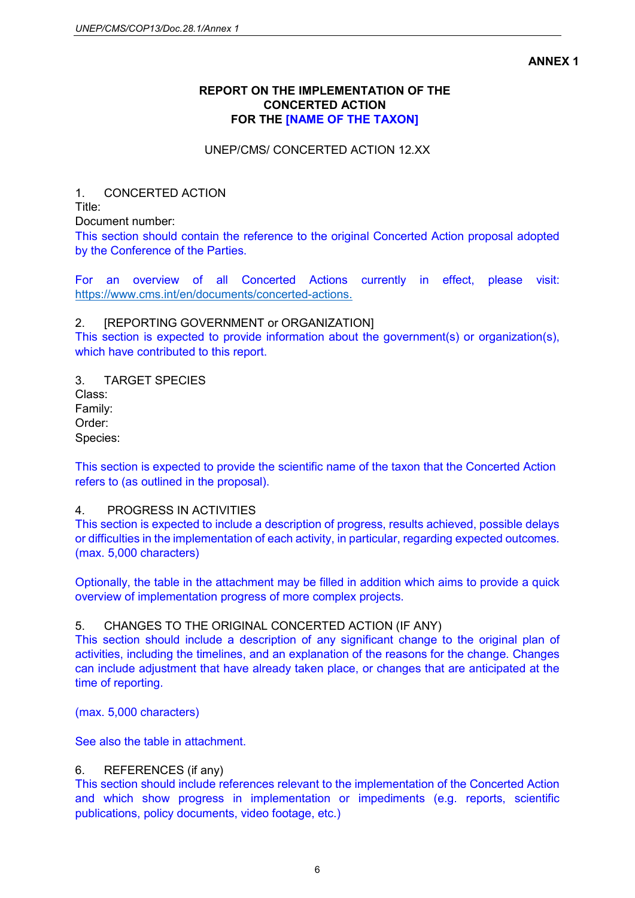#### **ANNEX 1**

# **REPORT ON THE IMPLEMENTATION OF THE CONCERTED ACTION FOR THE [NAME OF THE TAXON]**

# UNEP/CMS/ CONCERTED ACTION 12.XX

# 1. CONCERTED ACTION

Title:

Document number:

This section should contain the reference to the original Concerted Action proposal adopted by the Conference of the Parties.

For an overview of all Concerted Actions currently in effect, please visit: [https://www.cms.int/en/documents/concerted-actions.](https://www.cms.int/en/documents/concerted-actions)

### 2. [REPORTING GOVERNMENT or ORGANIZATION]

This section is expected to provide information about the government(s) or organization(s), which have contributed to this report.

3. TARGET SPECIES Class: Family: Order: Species:

This section is expected to provide the scientific name of the taxon that the Concerted Action refers to (as outlined in the proposal).

### 4. PROGRESS IN ACTIVITIES

This section is expected to include a description of progress, results achieved, possible delays or difficulties in the implementation of each activity, in particular, regarding expected outcomes. (max. 5,000 characters)

Optionally, the table in the attachment may be filled in addition which aims to provide a quick overview of implementation progress of more complex projects.

# 5. CHANGES TO THE ORIGINAL CONCERTED ACTION (IF ANY)

This section should include a description of any significant change to the original plan of activities, including the timelines, and an explanation of the reasons for the change. Changes can include adjustment that have already taken place, or changes that are anticipated at the time of reporting.

(max. 5,000 characters)

See also the table in attachment.

### 6. REFERENCES (if any)

This section should include references relevant to the implementation of the Concerted Action and which show progress in implementation or impediments (e.g. reports, scientific publications, policy documents, video footage, etc.)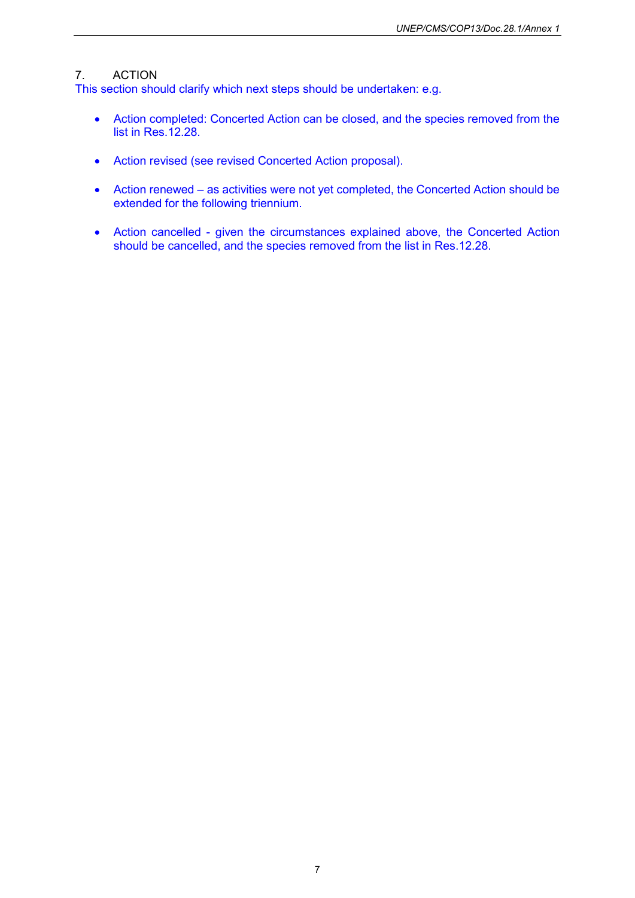# 7. ACTION

This section should clarify which next steps should be undertaken: e.g.

- Action completed: Concerted Action can be closed, and the species removed from the list in Res.12.28.
- Action revised (see revised Concerted Action proposal).
- Action renewed as activities were not yet completed, the Concerted Action should be extended for the following triennium.
- Action cancelled given the circumstances explained above, the Concerted Action should be cancelled, and the species removed from the list in Res.12.28.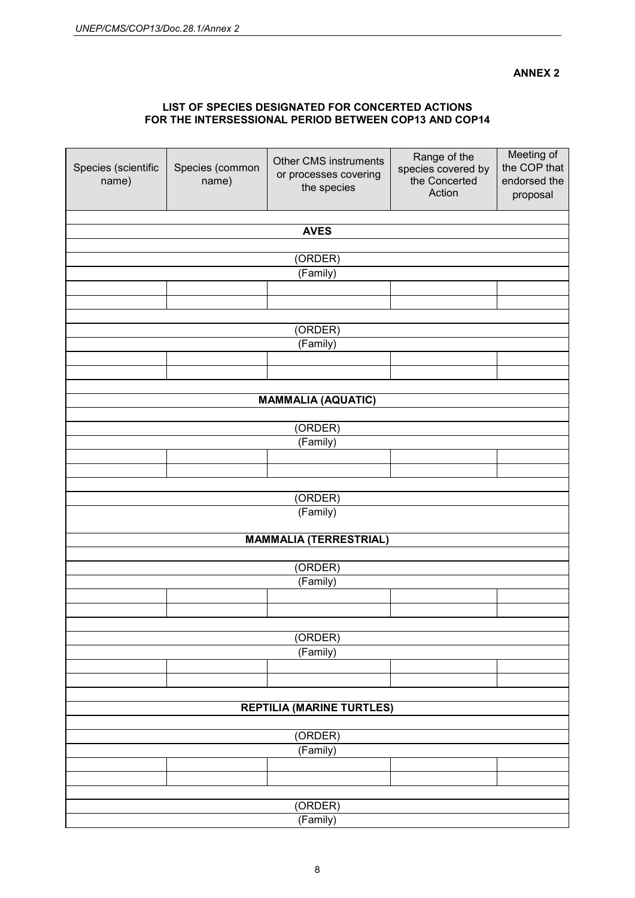#### **ANNEX 2**

#### **LIST OF SPECIES DESIGNATED FOR CONCERTED ACTIONS FOR THE INTERSESSIONAL PERIOD BETWEEN COP13 AND COP14**

| Species (scientific<br>name)     | Species (common<br>name) | <b>Other CMS instruments</b><br>or processes covering<br>the species | Range of the<br>species covered by<br>the Concerted<br>Action | Meeting of<br>the COP that<br>endorsed the<br>proposal |  |  |  |
|----------------------------------|--------------------------|----------------------------------------------------------------------|---------------------------------------------------------------|--------------------------------------------------------|--|--|--|
| <b>AVES</b>                      |                          |                                                                      |                                                               |                                                        |  |  |  |
|                                  |                          |                                                                      |                                                               |                                                        |  |  |  |
| (ORDER)<br>(Family)              |                          |                                                                      |                                                               |                                                        |  |  |  |
|                                  |                          |                                                                      |                                                               |                                                        |  |  |  |
|                                  |                          |                                                                      |                                                               |                                                        |  |  |  |
| (ORDER)                          |                          |                                                                      |                                                               |                                                        |  |  |  |
| (Family)                         |                          |                                                                      |                                                               |                                                        |  |  |  |
|                                  |                          |                                                                      |                                                               |                                                        |  |  |  |
|                                  |                          |                                                                      |                                                               |                                                        |  |  |  |
| <b>MAMMALIA (AQUATIC)</b>        |                          |                                                                      |                                                               |                                                        |  |  |  |
|                                  |                          |                                                                      |                                                               |                                                        |  |  |  |
|                                  | (ORDER)<br>(Family)      |                                                                      |                                                               |                                                        |  |  |  |
|                                  |                          |                                                                      |                                                               |                                                        |  |  |  |
|                                  |                          |                                                                      |                                                               |                                                        |  |  |  |
| (ORDER)                          |                          |                                                                      |                                                               |                                                        |  |  |  |
|                                  |                          | (Family)                                                             |                                                               |                                                        |  |  |  |
|                                  |                          |                                                                      |                                                               |                                                        |  |  |  |
|                                  |                          | <b>MAMMALIA (TERRESTRIAL)</b>                                        |                                                               |                                                        |  |  |  |
| (ORDER)                          |                          |                                                                      |                                                               |                                                        |  |  |  |
| (Family)                         |                          |                                                                      |                                                               |                                                        |  |  |  |
|                                  |                          |                                                                      |                                                               |                                                        |  |  |  |
|                                  |                          |                                                                      |                                                               |                                                        |  |  |  |
|                                  |                          | (ORDER)                                                              |                                                               |                                                        |  |  |  |
|                                  |                          | (Family)                                                             |                                                               |                                                        |  |  |  |
|                                  |                          |                                                                      |                                                               |                                                        |  |  |  |
|                                  |                          |                                                                      |                                                               |                                                        |  |  |  |
| <b>REPTILIA (MARINE TURTLES)</b> |                          |                                                                      |                                                               |                                                        |  |  |  |
|                                  |                          |                                                                      |                                                               |                                                        |  |  |  |
| (ORDER)<br>(Family)              |                          |                                                                      |                                                               |                                                        |  |  |  |
|                                  |                          |                                                                      |                                                               |                                                        |  |  |  |
|                                  |                          |                                                                      |                                                               |                                                        |  |  |  |
|                                  |                          |                                                                      |                                                               |                                                        |  |  |  |
| (ORDER)<br>(Family)              |                          |                                                                      |                                                               |                                                        |  |  |  |
|                                  |                          |                                                                      |                                                               |                                                        |  |  |  |